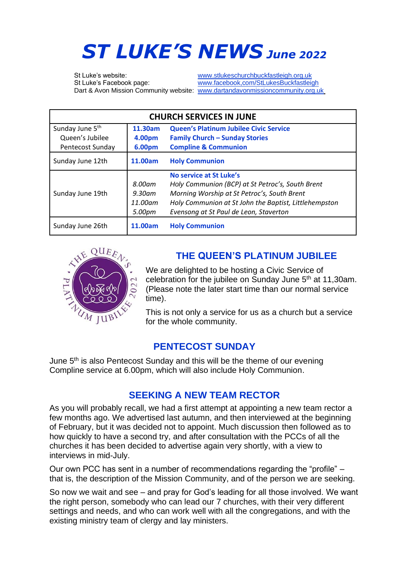# *ST LUKE'S NEWS June <sup>2022</sup>*

St Luke's website: [www.stlukeschurchbuckfastleigh.org.uk](http://www.stlukeschurchbuckfastleigh.org.uk/)

St Luke's Facebook page: [www.facebook,com/StLukesBuckfastleigh](http://www.facebook,com/StLukesBuckfastleigh) Dart & Avon Mission Community website: [www.dartandavonmissioncommunity.org.uk](http://www.dartandavonmissioncommunity.org.uk/)

| <b>CHURCH SERVICES IN JUNE</b> |                                       |                                                                                                                                                                                                                               |
|--------------------------------|---------------------------------------|-------------------------------------------------------------------------------------------------------------------------------------------------------------------------------------------------------------------------------|
| Sunday June 5 <sup>th</sup>    | 11.30am                               | Queen's Platinum Jubilee Civic Service                                                                                                                                                                                        |
| Queen's Jubilee                | 4.00pm                                | <b>Family Church - Sunday Stories</b>                                                                                                                                                                                         |
| <b>Pentecost Sunday</b>        | 6.00pm                                | <b>Compline &amp; Communion</b>                                                                                                                                                                                               |
| Sunday June 12th               | 11.00am                               | <b>Holy Communion</b>                                                                                                                                                                                                         |
| Sunday June 19th               | 8.00am<br>9.30am<br>11.00am<br>5.00pm | No service at St Luke's<br>Holy Communion (BCP) at St Petroc's, South Brent<br>Morning Worship at St Petroc's, South Brent<br>Holy Communion at St John the Baptist, Littlehempston<br>Evensong at St Paul de Leon, Staverton |
| Sunday June 26th               | 11.00am                               | <b>Holy Communion</b>                                                                                                                                                                                                         |



## **THE QUEEN'S PLATINUM JUBILEE**

We are delighted to be hosting a Civic Service of celebration for the jubilee on Sunday June 5<sup>th</sup> at 11,30am. (Please note the later start time than our normal service time).

This is not only a service for us as a church but a service for the whole community.

## **PENTECOST SUNDAY**

June 5<sup>th</sup> is also Pentecost Sunday and this will be the theme of our evening Compline service at 6.00pm, which will also include Holy Communion.

## **SEEKING A NEW TEAM RECTOR**

As you will probably recall, we had a first attempt at appointing a new team rector a few months ago. We advertised last autumn, and then interviewed at the beginning of February, but it was decided not to appoint. Much discussion then followed as to how quickly to have a second try, and after consultation with the PCCs of all the churches it has been decided to advertise again very shortly, with a view to interviews in mid-July.

Our own PCC has sent in a number of recommendations regarding the "profile" – that is, the description of the Mission Community, and of the person we are seeking.

So now we wait and see – and pray for God's leading for all those involved. We want the right person, somebody who can lead our 7 churches, with their very different settings and needs, and who can work well with all the congregations, and with the existing ministry team of clergy and lay ministers.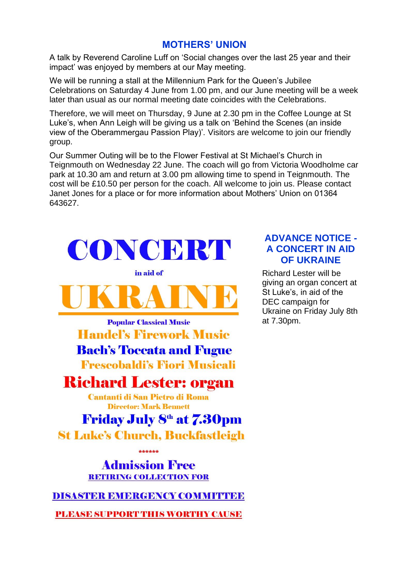### **MOTHERS' UNION**

A talk by Reverend Caroline Luff on 'Social changes over the last 25 year and their impact' was enjoyed by members at our May meeting.

We will be running a stall at the Millennium Park for the Queen's Jubilee Celebrations on Saturday 4 June from 1.00 pm, and our June meeting will be a week later than usual as our normal meeting date coincides with the Celebrations.

Therefore, we will meet on Thursday, 9 June at 2.30 pm in the Coffee Lounge at St Luke's, when Ann Leigh will be giving us a talk on 'Behind the Scenes (an inside view of the Oberammergau Passion Play)'. Visitors are welcome to join our friendly group.

Our Summer Outing will be to the Flower Festival at St Michael's Church in Teignmouth on Wednesday 22 June. The coach will go from Victoria Woodholme car park at 10.30 am and return at 3.00 pm allowing time to spend in Teignmouth. The cost will be £10.50 per person for the coach. All welcome to join us. Please contact Janet Jones for a place or for more information about Mothers' Union on 01364 643627.



## **ADVANCE NOTICE - A CONCERT IN AID OF UKRAINE**

Richard Lester will be giving an organ concert at St Luke's, in aid of the DEC campaign for Ukraine on Friday July 8th at 7.30pm.